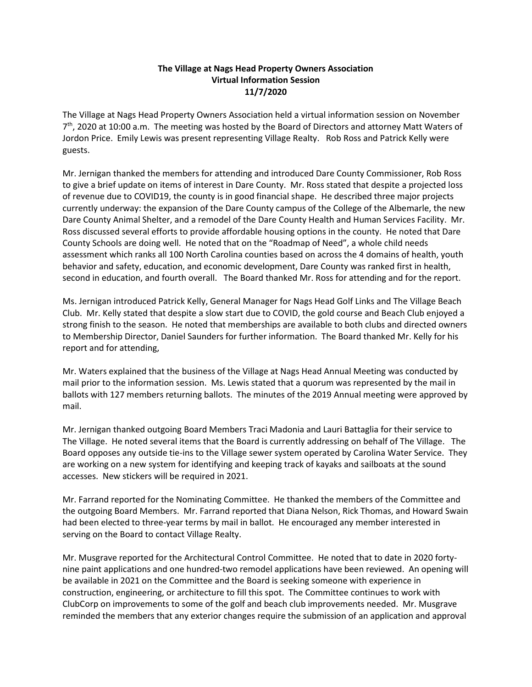## The Village at Nags Head Property Owners Association Virtual Information Session 11/7/2020

The Village at Nags Head Property Owners Association held a virtual information session on November 7<sup>th</sup>, 2020 at 10:00 a.m. The meeting was hosted by the Board of Directors and attorney Matt Waters of Jordon Price. Emily Lewis was present representing Village Realty. Rob Ross and Patrick Kelly were guests.

Mr. Jernigan thanked the members for attending and introduced Dare County Commissioner, Rob Ross to give a brief update on items of interest in Dare County. Mr. Ross stated that despite a projected loss of revenue due to COVID19, the county is in good financial shape. He described three major projects currently underway: the expansion of the Dare County campus of the College of the Albemarle, the new Dare County Animal Shelter, and a remodel of the Dare County Health and Human Services Facility. Mr. Ross discussed several efforts to provide affordable housing options in the county. He noted that Dare County Schools are doing well. He noted that on the "Roadmap of Need", a whole child needs assessment which ranks all 100 North Carolina counties based on across the 4 domains of health, youth behavior and safety, education, and economic development, Dare County was ranked first in health, second in education, and fourth overall. The Board thanked Mr. Ross for attending and for the report.

Ms. Jernigan introduced Patrick Kelly, General Manager for Nags Head Golf Links and The Village Beach Club. Mr. Kelly stated that despite a slow start due to COVID, the gold course and Beach Club enjoyed a strong finish to the season. He noted that memberships are available to both clubs and directed owners to Membership Director, Daniel Saunders for further information. The Board thanked Mr. Kelly for his report and for attending,

Mr. Waters explained that the business of the Village at Nags Head Annual Meeting was conducted by mail prior to the information session. Ms. Lewis stated that a quorum was represented by the mail in ballots with 127 members returning ballots. The minutes of the 2019 Annual meeting were approved by mail.

Mr. Jernigan thanked outgoing Board Members Traci Madonia and Lauri Battaglia for their service to The Village. He noted several items that the Board is currently addressing on behalf of The Village. The Board opposes any outside tie-ins to the Village sewer system operated by Carolina Water Service. They are working on a new system for identifying and keeping track of kayaks and sailboats at the sound accesses. New stickers will be required in 2021.

Mr. Farrand reported for the Nominating Committee. He thanked the members of the Committee and the outgoing Board Members. Mr. Farrand reported that Diana Nelson, Rick Thomas, and Howard Swain had been elected to three-year terms by mail in ballot. He encouraged any member interested in serving on the Board to contact Village Realty.

Mr. Musgrave reported for the Architectural Control Committee. He noted that to date in 2020 fortynine paint applications and one hundred-two remodel applications have been reviewed. An opening will be available in 2021 on the Committee and the Board is seeking someone with experience in construction, engineering, or architecture to fill this spot. The Committee continues to work with ClubCorp on improvements to some of the golf and beach club improvements needed. Mr. Musgrave reminded the members that any exterior changes require the submission of an application and approval